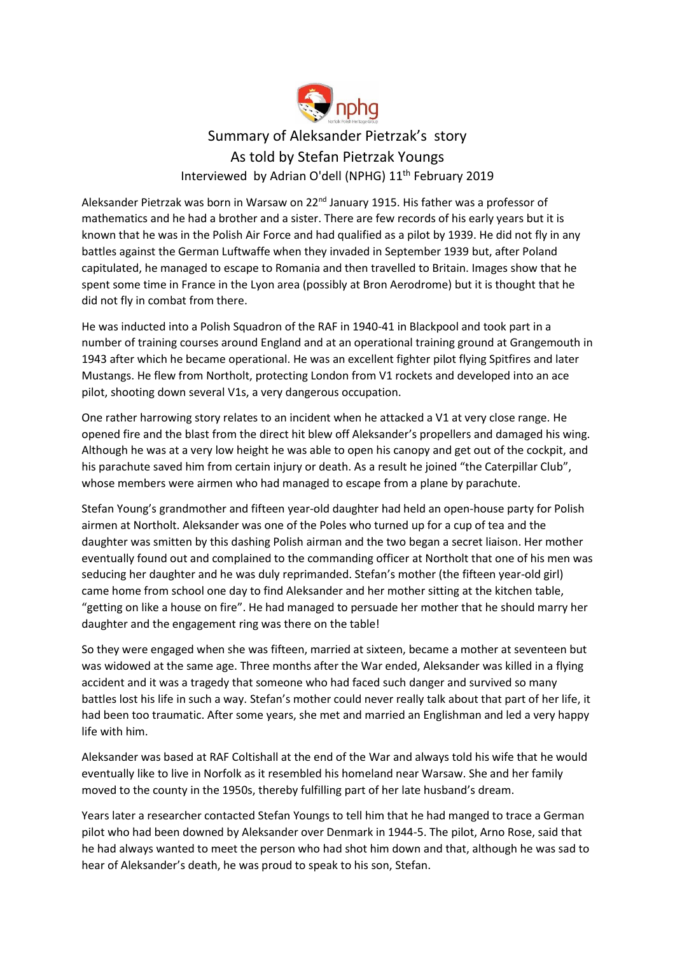

## Summary of Aleksander Pietrzak's story As told by Stefan Pietrzak Youngs Interviewed by Adrian O'dell (NPHG) 11th February 2019

Aleksander Pietrzak was born in Warsaw on 22<sup>nd</sup> January 1915. His father was a professor of mathematics and he had a brother and a sister. There are few records of his early years but it is known that he was in the Polish Air Force and had qualified as a pilot by 1939. He did not fly in any battles against the German Luftwaffe when they invaded in September 1939 but, after Poland capitulated, he managed to escape to Romania and then travelled to Britain. Images show that he spent some time in France in the Lyon area (possibly at Bron Aerodrome) but it is thought that he did not fly in combat from there.

He was inducted into a Polish Squadron of the RAF in 1940-41 in Blackpool and took part in a number of training courses around England and at an operational training ground at Grangemouth in 1943 after which he became operational. He was an excellent fighter pilot flying Spitfires and later Mustangs. He flew from Northolt, protecting London from V1 rockets and developed into an ace pilot, shooting down several V1s, a very dangerous occupation.

One rather harrowing story relates to an incident when he attacked a V1 at very close range. He opened fire and the blast from the direct hit blew off Aleksander's propellers and damaged his wing. Although he was at a very low height he was able to open his canopy and get out of the cockpit, and his parachute saved him from certain injury or death. As a result he joined "the Caterpillar Club", whose members were airmen who had managed to escape from a plane by parachute.

Stefan Young's grandmother and fifteen year-old daughter had held an open-house party for Polish airmen at Northolt. Aleksander was one of the Poles who turned up for a cup of tea and the daughter was smitten by this dashing Polish airman and the two began a secret liaison. Her mother eventually found out and complained to the commanding officer at Northolt that one of his men was seducing her daughter and he was duly reprimanded. Stefan's mother (the fifteen year-old girl) came home from school one day to find Aleksander and her mother sitting at the kitchen table, "getting on like a house on fire". He had managed to persuade her mother that he should marry her daughter and the engagement ring was there on the table!

So they were engaged when she was fifteen, married at sixteen, became a mother at seventeen but was widowed at the same age. Three months after the War ended, Aleksander was killed in a flying accident and it was a tragedy that someone who had faced such danger and survived so many battles lost his life in such a way. Stefan's mother could never really talk about that part of her life, it had been too traumatic. After some years, she met and married an Englishman and led a very happy life with him.

Aleksander was based at RAF Coltishall at the end of the War and always told his wife that he would eventually like to live in Norfolk as it resembled his homeland near Warsaw. She and her family moved to the county in the 1950s, thereby fulfilling part of her late husband's dream.

Years later a researcher contacted Stefan Youngs to tell him that he had manged to trace a German pilot who had been downed by Aleksander over Denmark in 1944-5. The pilot, Arno Rose, said that he had always wanted to meet the person who had shot him down and that, although he was sad to hear of Aleksander's death, he was proud to speak to his son, Stefan.